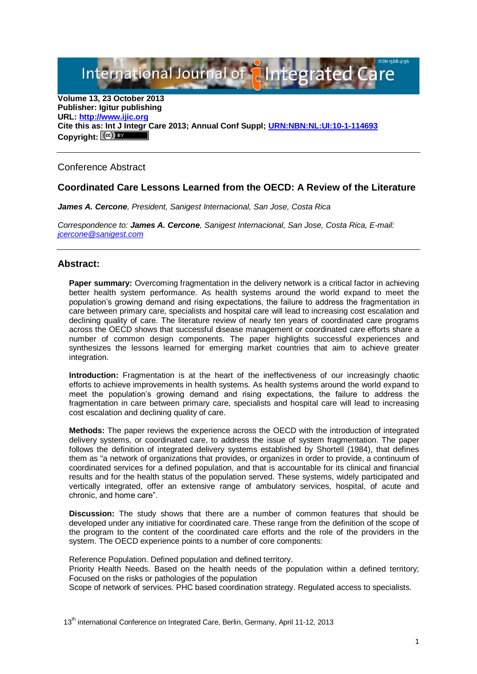International Journal of **Alntegrated** 

**Volume 13, 23 October 2013 Publisher: Igitur publishing URL[: http://www.ijic.org](http://www.ijic.org/) Cite this as: Int J Integr Care 2013; Annual Conf Suppl; [URN:NBN:NL:UI:10-1-114693](http://persistent-identifier.nl/?identifier=URN:NBN:NL:UI:10-1-114693)** Copyright:  $(cc)$  **E**Y

## Conference Abstract

## **Coordinated Care Lessons Learned from the OECD: A Review of the Literature**

*James A. Cercone, President, Sanigest Internacional, San Jose, Costa Rica*

*Correspondence to: James A. Cercone, Sanigest Internacional, San Jose, Costa Rica, E-mail: [jcercone@sanigest.com](mailto:jcercone@sanigest.com)*

## **Abstract:**

**Paper summary:** Overcoming fragmentation in the delivery network is a critical factor in achieving better health system performance. As health systems around the world expand to meet the population's growing demand and rising expectations, the failure to address the fragmentation in care between primary care, specialists and hospital care will lead to increasing cost escalation and declining quality of care. The literature review of nearly ten years of coordinated care programs across the OECD shows that successful disease management or coordinated care efforts share a number of common design components. The paper highlights successful experiences and synthesizes the lessons learned for emerging market countries that aim to achieve greater integration.

**Introduction:** Fragmentation is at the heart of the ineffectiveness of our increasingly chaotic efforts to achieve improvements in health systems. As health systems around the world expand to meet the population's growing demand and rising expectations, the failure to address the fragmentation in care between primary care, specialists and hospital care will lead to increasing cost escalation and declining quality of care.

**Methods:** The paper reviews the experience across the OECD with the introduction of integrated delivery systems, or coordinated care, to address the issue of system fragmentation. The paper follows the definition of integrated delivery systems established by Shortell (1984), that defines them as "a network of organizations that provides, or organizes in order to provide, a continuum of coordinated services for a defined population, and that is accountable for its clinical and financial results and for the health status of the population served. These systems, widely participated and vertically integrated, offer an extensive range of ambulatory services, hospital, of acute and chronic, and home care".

**Discussion:** The study shows that there are a number of common features that should be developed under any initiative for coordinated care. These range from the definition of the scope of the program to the content of the coordinated care efforts and the role of the providers in the system. The OECD experience points to a number of core components:

Reference Population. Defined population and defined territory.

Priority Health Needs. Based on the health needs of the population within a defined territory; Focused on the risks or pathologies of the population

Scope of network of services. PHC based coordination strategy. Regulated access to specialists.

13<sup>th</sup> international Conference on Integrated Care, Berlin, Germany, April 11-12, 2013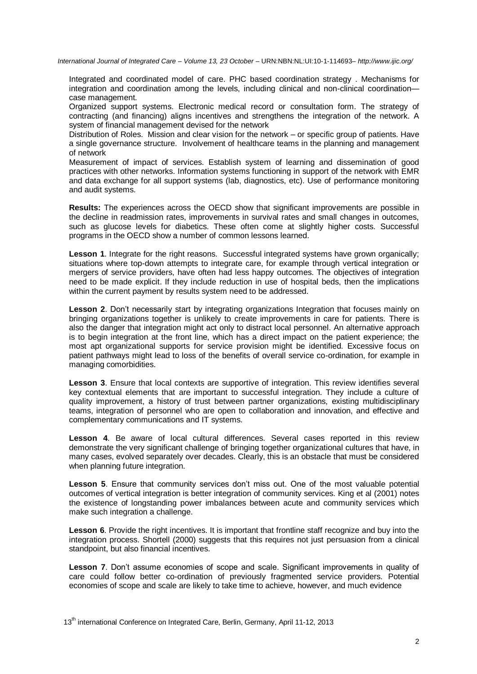*International Journal of Integrated Care – Volume 13, 23 October –* URN:NBN:NL:UI:10-1-114693*– http://www.ijic.org/*

Integrated and coordinated model of care. PHC based coordination strategy . Mechanisms for integration and coordination among the levels, including clinical and non-clinical coordination case management.

Organized support systems. Electronic medical record or consultation form. The strategy of contracting (and financing) aligns incentives and strengthens the integration of the network. A system of financial management devised for the network

Distribution of Roles. Mission and clear vision for the network – or specific group of patients. Have a single governance structure. Involvement of healthcare teams in the planning and management of network

Measurement of impact of services. Establish system of learning and dissemination of good practices with other networks. Information systems functioning in support of the network with EMR and data exchange for all support systems (lab, diagnostics, etc). Use of performance monitoring and audit systems.

**Results:** The experiences across the OECD show that significant improvements are possible in the decline in readmission rates, improvements in survival rates and small changes in outcomes, such as glucose levels for diabetics. These often come at slightly higher costs. Successful programs in the OECD show a number of common lessons learned.

**Lesson 1.** Integrate for the right reasons. Successful integrated systems have grown organically; situations where top-down attempts to integrate care, for example through vertical integration or mergers of service providers, have often had less happy outcomes. The objectives of integration need to be made explicit. If they include reduction in use of hospital beds, then the implications within the current payment by results system need to be addressed.

Lesson 2. Don't necessarily start by integrating organizations Integration that focuses mainly on bringing organizations together is unlikely to create improvements in care for patients. There is also the danger that integration might act only to distract local personnel. An alternative approach is to begin integration at the front line, which has a direct impact on the patient experience; the most apt organizational supports for service provision might be identified. Excessive focus on patient pathways might lead to loss of the benefits of overall service co-ordination, for example in managing comorbidities.

**Lesson 3**. Ensure that local contexts are supportive of integration. This review identifies several key contextual elements that are important to successful integration. They include a culture of quality improvement, a history of trust between partner organizations, existing multidisciplinary teams, integration of personnel who are open to collaboration and innovation, and effective and complementary communications and IT systems.

**Lesson 4**. Be aware of local cultural differences. Several cases reported in this review demonstrate the very significant challenge of bringing together organizational cultures that have, in many cases, evolved separately over decades. Clearly, this is an obstacle that must be considered when planning future integration.

Lesson 5. Ensure that community services don't miss out. One of the most valuable potential outcomes of vertical integration is better integration of community services. King et al (2001) notes the existence of longstanding power imbalances between acute and community services which make such integration a challenge.

**Lesson 6.** Provide the right incentives. It is important that frontline staff recognize and buy into the integration process. Shortell (2000) suggests that this requires not just persuasion from a clinical standpoint, but also financial incentives.

**Lesson 7.** Don't assume economies of scope and scale. Significant improvements in quality of care could follow better co-ordination of previously fragmented service providers. Potential economies of scope and scale are likely to take time to achieve, however, and much evidence

13<sup>th</sup> international Conference on Integrated Care, Berlin, Germany, April 11-12, 2013